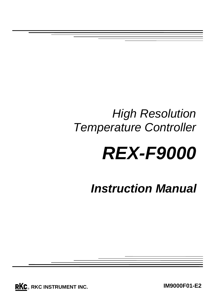## *High Resolution Temperature Controller*

# *REX-F9000*

*Instruction Manual*

**RKC**. RKC INSTRUMENT INC.

**IM9000F01-E2**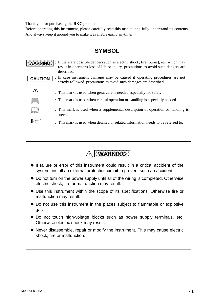Thank you for purchasing the **RKC** product.

Before operating this instrument, please carefully read this manual and fully understand its contents. And always keep it around you to make it available easily anytime.

#### **SYMBOL**

: If there are possible dangers such as electric shock, fire (burns), etc. which may **WARNING** result in operator's loss of life or injury, precautions to avoid such dangers are described. : In case instrument damages may be caused if operating procedures are not **CAUTION** strictly followed, precautions to avoid such damages are described. **!** : This mark is used when great care is needed especially for safety. : This mark is used when careful operation or handling is especially needed. : This mark is used when a supplemental description of operation or handling is needed. **I** : This mark is used when detailed or related information needs to be referred to.



- If failure or error of this instrument could result in a critical accident of the system, install an external protection circuit to prevent such an accident.
- Do not turn on the power supply until all of the wiring is completed. Otherwise electric shock, fire or malfunction may result.
- Use this instrument within the scope of its specifications. Otherwise fire or malfunction may result.
- $\bullet$  Do not use this instrument in the places subject to flammable or explosive gas.
- Do not touch high-voltage blocks such as power supply terminals, etc. Otherwise electric shock may result.
- Never disassemble, repair or modify the instrument. This may cause electric shock, fire or malfunction.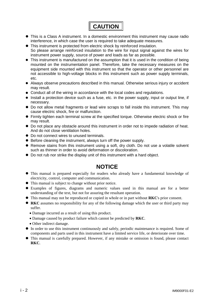

- This is a Class A instrument. In a domestic environment this instrument may cause radio interference, in which case the user is required to take adequate measures.
- This instrument is protected from electric shock by reinforced insulation. So please arrange reinforced insulation to the wire for input signal against the wires for
	- instrument power supply, source of power and loads as far as possible.
- $\bullet$  This instrument is manufactured on the assumption that it is used in the condition of being mounted on the instrumentation panel. Therefore, take the necessary measures on the equipment side mounted with this instrument so that the operator or other personnel are not accessible to high-voltage blocks in this instrument such as power supply terminals, etc.
- Always observe precautions described in this manual. Otherwise serious injury or accident may result.
- Conduct all of the wiring in accordance with the local codes and regulations.
- Install a protection device such as a fuse, etc. in the power supply, input or output line, if necessary.
- $\bullet$  Do not allow metal fragments or lead wire scraps to fall inside this instrument. This may cause electric shock, fire or malfunction.
- Firmly tighten each terminal screw at the specified torque. Otherwise electric shock or fire may result.
- $\bullet$  Do not place any obstacle around this instrument in order not to impede radiation of heat. And do not close ventilation holes.
- $\bullet$  Do not connect wires to unused terminals.
- Before cleaning the instrument, always turn off the power supply.
- Remove stains from this instrument using a soft, dry cloth. Do not use a volatile solvent such as thinner in order to avoid deformation or discoloration.
- Do not rub nor strike the display unit of this instrument with a hard object.

#### **NOTICE**

- $\bullet$  This manual is prepared especially for readers who already have a fundamental knowledge of electricity, control, computer and communication.
- This manual is subject to change without prior notice.
- Examples of figures, diagrams and numeric values used in this manual are for a better understanding of the text, but not for assuring the resultant operation.
- This manual may not be reproduced or copied in whole or in part without **RKC**'s prior consent.
- **RKC** assumes no responsibility for any of the following damage which the user or third party may suffer.
	- Damage incurred as a result of using this product.
	- x Damage caused by product failure which cannot be predicted by **RKC**.
	- Other indirect damage.
- In order to use this instrument continuously and safely, periodic maintenance is required. Some of components and parts used in this instrument have a limited service life, or deteriorate over time.
- This manual is carefully prepared. However, if any mistake or omission is found, please contact **RKC**.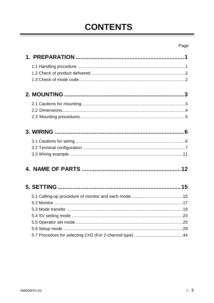## **CONTENTS**

#### Page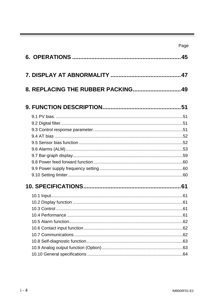| 8. REPLACING THE RUBBER PACKING 49 |  |
|------------------------------------|--|
|                                    |  |
|                                    |  |
|                                    |  |
|                                    |  |
|                                    |  |
|                                    |  |
|                                    |  |
|                                    |  |
|                                    |  |
|                                    |  |
|                                    |  |
|                                    |  |
|                                    |  |
|                                    |  |
|                                    |  |
|                                    |  |
|                                    |  |
|                                    |  |
|                                    |  |
|                                    |  |
|                                    |  |
|                                    |  |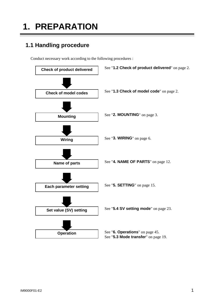## **1. PREPARATION**

### **1.1 Handling procedure**

Conduct necessary work according to the following procedures :

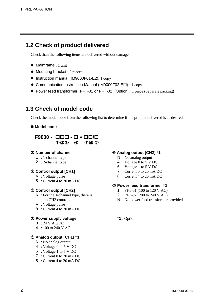#### **1.2 Check of product delivered**

Check than the following items are delivered without damage.

- Mainframe : 1 unit
- $\bullet$  Mounting bracket : 2 pieces
- Instruction manual (IM9000F01-E2): 1 copy
- Communication Instruction Manual (IM9000F02-E $\Box$ ) : 1 copy
- Power feed transformer (PFT-01 or PFT-02) [Option] : 1 piece (Separate packing)

#### **1.3 Check of model code**

Check the model code from the following list to determine if the product delivered is as desired.

#### **Model code**

#### $F9000 - \Box \Box \Box - \Box * \Box \Box / \Box$  $(1)$  $(2)$  $(3)$  $(4)$  $(5)$  $(6)$  $(7)$

- 
- 

#### d **Control output [CH1]** 7 : Current 0 to 20 mA DC

- 
- 8 : Current 4 to 20 mA DC

- $N$ : For the 1-channel type, there is 2 : PFT-02 (200 to 240 V AC)
- V : Voltage pulse
- 8 : Current 4 to 20 mA DC

#### f **Power supply voltage** \***1** : Option

- 3 : 24 V AC/DC
- 4 : 100 to 240 V AC

#### g **Analog output [CH1]** \***1**

- N : No analog output
- 4 : Voltage 0 to 5 V DC
- 6 : Voltage 1 to 5 V DC
- 7 : Current 0 to 20 mA DC
- 8 : Current 4 to 20 mA DC

#### c **Number of channel** h **Analog output [CH2]** \***1**

- 1 : 1-channel type  $N : No$  analog output
- 2 : 2-channel type 4 : Voltage 0 to 5 V DC
	- 6 : Voltage 1 to 5 V DC
	-
- V: Voltage pulse 8 : Current 4 to 20 mA DC

#### i **Power feed transformer** \***1**

- **2 Control output [CH2]** 1 : PFT-01 (100 to 120 V AC)
	-
	- no CH2 control output.  $N : No power feed transformer provided$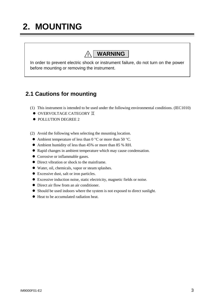## **2. MOUNTING**

### **! WARNING**

In order to prevent electric shock or instrument failure, do not turn on the power before mounting or removing the instrument.

#### **2.1 Cautions for mounting**

- (1) This instrument is intended to be used under the following environmental conditions. (IEC1010)
	- $\bullet$  OVERVOLTAGE CATEGORY  $\mathbb T$
	- $\bullet$  POLLUTION DEGREE 2
- (2) Avoid the following when selecting the mounting location.
	- Ambient temperature of less than 0  $^{\circ}$ C or more than 50  $^{\circ}$ C.
	- Ambient humidity of less than 45% or more than 85 % RH.
	- Rapid changes in ambient temperature which may cause condensation.
	- Corrosive or inflammable gases.
	- Direct vibration or shock to the mainframe.
	- $\bullet$  Water, oil, chemicals, vapor or steam splashes.
	- Excessive dust, salt or iron particles.
	- Excessive induction noise, static electricity, magnetic fields or noise.
	- Direct air flow from an air conditioner.
	- Should be used indoors where the system is not exposed to direct sunlight.
	- $\bullet$  Heat to be accumulated radiation heat.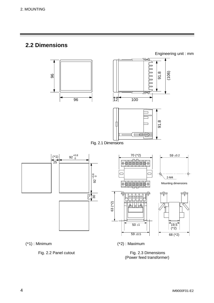#### **2.2 Dimensions**



(\*1) : Minimum (\*2) : Maximum

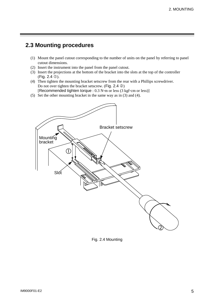#### **2.3 Mounting procedures**

- (1) Mount the panel cutout corresponding to the number of units on the panel by referring to panel cutout dimensions.
- (2) Insert the instrument into the panel from the panel cutout.
- (3) Insert the projections at the bottom of the bracket into the slots at the top of the controller  $(Fig. 2.4 \circled{0}).$
- (4) Then tighten the mounting bracket setscrew from the rear with a Phillips screwdriver. Do not over tighten the bracket setscrew. (Fig. 2.4  $\circled{2}$ ) [Recommended tighten torque :  $0.3$  N·m or less (3 kgf·cm or less)]
- (5) Set the other mounting bracket in the same way as in (3) and (4).



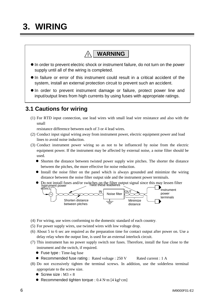## **3. WIRING**

### **! WARNING**

- $\bullet$  In order to prevent electric shock or instrument failure, do not turn on the power supply until all of the wiring is completed.
- $\bullet$  In failure or error of this instrument could result in a critical accident of the system, install an external protection circuit to prevent such an accident.
- $\bullet$  In order to prevent instrument damage or failure, protect power line and input/output lines from high currents by using fuses with appropriate ratings.

#### **3.1 Cautions for wiring**

(1) For RTD input connection, use lead wires with small lead wire resistance and also with the small

resistance difference between each of 3 or 4 lead wires.

- (2) Conduct input signal wiring away from instrument power, electric equipment power and load lines to avoid noise induction.
- (3) Conduct instrument power wiring so as not to be influenced by noise from the electric equipment power. If the instrument may be affected by external noise, a noise filter should be used.
	- Shorten the distance between twisted power supply wire pitches. The shorter the distance between the pitches, the more effective for noise reduction.
	- $\bullet$  Install the noise filter on the panel which is always grounded and minimize the wiring distance between the noise filter output side and the instrument power terminals.



- (4) For wiring, use wires conforming to the domestic standard of each country.
- (5) For power supply wires, use twisted wires with low voltage drop.
- (6) About 5 to 6 sec are required as the preparation time for contact output after power on. Use a delay relay when the output line, is used for an external interlock circuit.
- (7) This instrument has no power supply switch nor fuses. Therefore, install the fuse close to the instrument and the switch, if required.
	- $\bullet$  Fuse type : Time-lag fuse
	- Recommended fuse rating : Rated voltage : 250 V Rated current : 1 A
- (8) Do not excessively tighten the terminal screws. In addition, use the solderless terminal appropriate to the screw size.
	- Screw size :  $M3 \times 8$
	- Recommended tighten torque :  $0.4$  N·m [4 kgf·cm]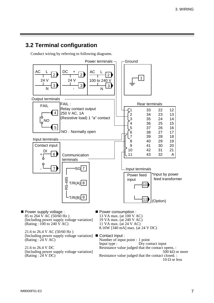#### **3.2 Terminal configuration**

Conduct wiring by referring to following diagrams.



 85 to 264 V AC (50/60 Hz ) [Including power supply voltage variation] (Rating :  $100$  to  $240 \hat{V}$  AC)

 21.6 to 26.4 V AC (50/60 Hz ) [Including power supply voltage variation]  $(Rating : 24 V AC)$ 

 21.6 to 26.4 V DC [Including power supply voltage variation]  $(Rating : 24 VDC)$ 

- Power consumption : 13 VA max. (at 100 V AC) 19 VA max. (at 240 V AC) 11 VA max. (at 24 V AC) 8.16W [340 mA] max. (at 24 V DC)
- Contact input : Number of input point : 1 point<br>Input type : Dry cor Dry contact input Resistance value judged that the contact opens. :  $500 \text{ k}\Omega$  or more Resistance value judged that the contact closed. :  $10 \Omega$  or less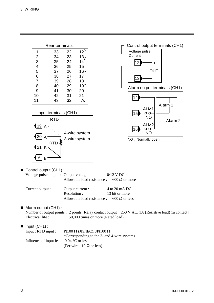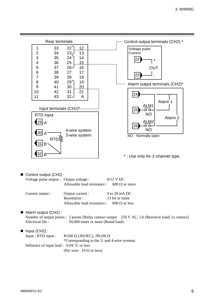

| Current output : | Output current :            | 4 to 20 mA DC        |
|------------------|-----------------------------|----------------------|
|                  | Resolution :                | 13 bit or more       |
|                  | Allowable load resistance : | $600 \Omega$ or less |

■ Alarm output (CH2) : Number of output points : 2 points [Relay contact output 250 V AC, 1A (Resistive load) 1a contact] Electrical life : 50,000 times or more (Rated load)

 $\blacksquare$  Input (CH2) : Input : RTD input : Pt100  $\Omega$  (JIS/IEC), JPt100  $\Omega$ \*Corresponding to the 3- and 4-wire systems. Influence of input lead :  $0.04 \degree C$  or less (Per wire :  $10 \Omega$  or less)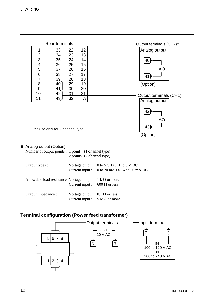

Current input :  $5 M\Omega$  or more

#### **Terminal configuration (Power feed transformer)**

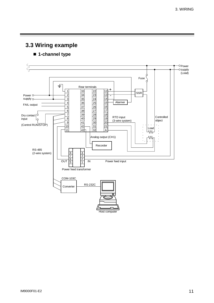**3.3 Wiring example**

#### ■ 1-channel type

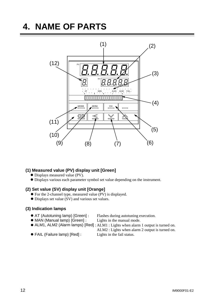## **4. NAME OF PARTS**



#### **(1) Measured value (PV) display unit [Green]**

- $\bullet$  Displays measured value (PV).
- $\bullet$  Displays various each parameter symbol set value depending on the instrument.

#### **(2) Set value (SV) display unit [Orange]**

- $\bullet$  For the 2-channel type, measured value (PV) is displayed.
- $\bullet$  Displays set value (SV) and various set values.

#### **(3) Indication lamps**

- AT (Autotuning lamp) [Green] : Flashes during autotuning execution.
- MAN (Manual lamp) [Green] : Lights in the manual mode.
- ALM1, ALM2 (Alarm lamps) [Red] : ALM1 : Lights when alarm 1 output is turned on.

ALM2 : Lights when alarm 2 output is turned on.

● FAIL (Failure lamp) [Red] : Lights in the fail status.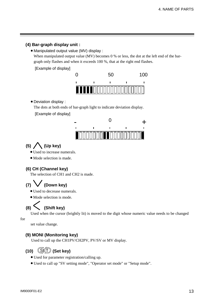#### **(4) Bar-graph display unit :**

• Manipulated output value (MV) display :

When manipulated output value (MV) becomes 0 % or less, the dot at the left end of the bargraph only flashes and when it exceeds 100 %, that at the right end flashes.

[Example of display]



• Deviation display :

The dots at both ends of bar-graph light to indicate deviation display.

[Example of display]



#### **(5) (Up key)**

- Used to increase numerals.
- Mode selection is made.

#### **(6) CH (Channel key)**

The selection of CH1 and CH2 is made.

### **(7) (Down key)**

- $\bullet$  Used to decrease numerals.
- Mode selection is mode.

#### **(8) (Shift key)**

Used when the cursor (brightly lit) is moved to the digit whose numeric value needs to be changed

for

set value change.

#### **(9) MONI (Monitoring key)**

Used to call up the CH1PV/CH2PV, PV/SV or MV display.

#### **(10) (Set key)** SET

- $\bullet$  Used for parameter registration/calling up.
- x Used to call up "SV setting mode", "Operator set mode" or "Setup mode".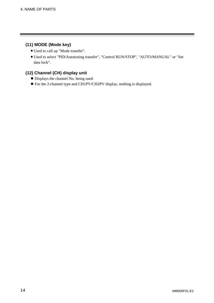#### **(11) MODE (Mode key)**

- $\bullet$  Used to call up "Mode transfer".
- x Used to select "PID/Autotuning transfer", "Control RUN/STOP", "AUTO/MANUAL" or "Set data lock".

#### **(12) Channel (CH) display unit**

- $\bullet$  Displays the channel No. being used.
- z For the 2-channel type and CH1PV/CH2PV display, nothing is displayed.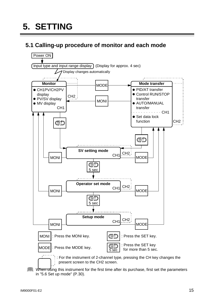### **5.1 Calling-up procedure of monitor and each mode**



When using this instrument for the first time after its purchase, first set the parameters in "5.6 Set up mode" (P.30).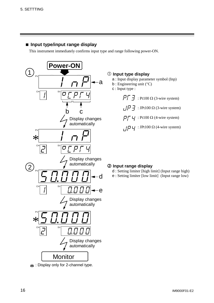#### **Input type/input range display**

This instrument immediately confirms input type and range following power-ON.



 $*$ : Display only for 2-channel type.

#### c **Input type display**

- a : Input display parameter symbol (Inp)
- $b:$  Engineering unit ( $°C$ )
- c : Input type :
	- $\overline{P_1}$   $\overline{J}$  : Pt100  $\Omega$  (3-wire system)  $\sqrt{P}$   $\vec{P}$  : JPt100  $\Omega$  (3-wire system)  $\overline{P}$  $\overline{P}$   $\overline{V}$  : Pt100  $\Omega$  (4-wire system)

 $\overline{H}$   $\overline{H}$  : JPt100  $\Omega$  (4-wire system)

#### d **Input range display**

- d : Setting limiter [high limit] (Input range high)
- e : Setting limiter [low limit] (Input range low)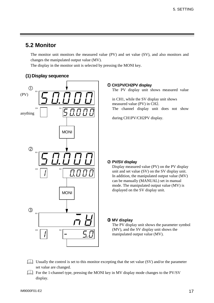#### **5.2 Monitor**

The monitor unit monitors the measured value (PV) and set value (SV), and also monitors and changes the manipulated output value (MV).

The display in the monitor unit is selected by pressing the MONI key.

#### **(1) Display sequence**



#### c **CH1PV/CH2PV display**

The PV display unit shows measured value

 in CH1, while the SV display unit shows measured value (PV) in CH2. The channel display unit does not show

during CH1PV/CH2PV display.

#### d **PV/SV display**

Display measured value (PV) on the PV display unit and set value (SV) on the SV display unit. In addition, the manipulated output value (MV) can be manually (MANUAL) set in manual mode. The manipulated output value (MV) is displayed on the SV display unit.

#### e **MV display**

The PV display unit shows the parameter symbol (MV), and the SV display unit shows the manipulated output value (MV).

- Usually the control is set to this monitor excepting that the set value (SV) and/or the parameter set value are changed.
- For the 1-channel type, pressing the MONI key in MV display mode changes to the PV/SV display.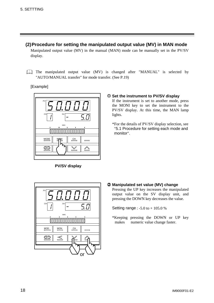**(2) Procedure for setting the manipulated output value (MV) in MAN mode**

Manipulated output value (MV) in the manual (MAN) mode can be manually set in the PV/SV display.

The manipulated output value (MV) is changed after "MANUAL" is selected by "AUTO/MANUAL transfer" for mode transfer. (See P.19)

[Example]



**PV/SV display**

#### c **Set the instrument to PV/SV display**

If the instrument is set to another mode, press the MONI key to set the instrument to the PV/SV display. At this time, the MAN lamp lights.

\*For the details of PV/SV display selection, see "5.1 Procedure for setting each mode and monitor".



d **Manipulated set value (MV) change**

Pressing the UP key increases the manipulated output value on the SV display unit, and pressing the DOWN key decreases the value.

Setting range : -5.0 to + 105.0 %

\*Keeping pressing the DOWN or UP key makes numeric value change faster.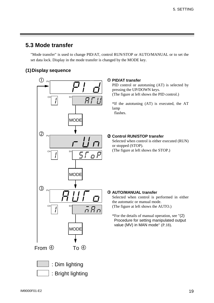#### **5.3 Mode transfer**

"Mode transfer" is used to change PID/AT, control RUN/STOP or AUTO/MANUAL or to set the set data lock. Display in the mode transfer is changed by the MODE key.

#### **(1) Display sequence**



#### c **PID/AT transfer**

PID control or autotuning (AT) is selected by pressing the UP/DOWN keys. (The figure at left shows the PID control.)

\*If the autotuning (AT) is executed, the AT lamp flashes.

#### d **Control RUN/STOP transfer**

Selected when control is either executed (RUN) or stopped (STOP). (The figure at left shows the STOP.)

#### e **AUTO/MANUAL transfer**

Selected when control is performed in either the automatic or manual mode. (The figure at left shows the AUTO.)

\*For the details of manual operation, see "(2) Procedure for setting manipulated output value (MV) in MAN mode" (P.18).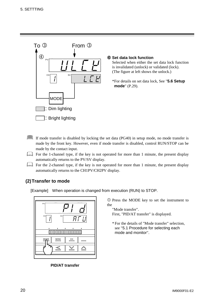

- If mode transfer is disabled by locking the set data (PG40) in setup mode, no mode transfer is made by the front key. However, even if mode transfer is disabled, control RUN/STOP can be made by the contact input.
- For the 1-channel type, if the key is not operated for more than 1 minute, the present display automatically returns to the PV/SV display.
- For the 2-channel type, if the key is not operated for more than 1 minute, the present display automatically returns to the CH1PV/CH2PV display.

#### **(2) Transfer to mode**

[Example] When operation is changed from execution (RUN) to STOP.



**PID/AT transfer**

c Press the MODE key to set the instrument to the

"Mode transfer". First, "PID/AT transfer" is displayed.

\* For the details of "Mode transfer" selection, see "5.1 Procedure for selecting each mode and monitor".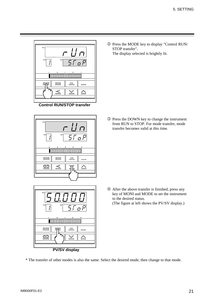

**Control RUN/STOP transfer**



| PV<br>CH<br><b>SV</b><br>$\bar{\varsigma}_L$<br>r.<br>٠<br>n |                |  |  |  |
|--------------------------------------------------------------|----------------|--|--|--|
|                                                              |                |  |  |  |
| MODE<br><b>MONI</b>                                          | сн             |  |  |  |
|                                                              |                |  |  |  |
| P(1011)                                                      | $\blacksquare$ |  |  |  |

**PV/SV display**

d Press the MODE key to display "Control RUN/ STOP transfer". The display selected is brightly lit.

e Press the DOWN key to change the instrument from RUN to STOP. For mode transfer, mode transfer becomes valid at this time.

 $\circledA$  After the above transfer is finished, press any key of MONI and MODE to set the instrument to the desired status. (The figure at left shows the PV/SV display.)

\* The transfer of other modes is also the same. Select the desired mode, then change to that mode.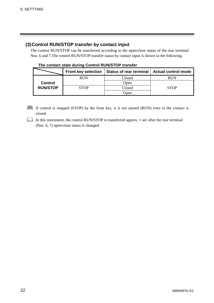#### **(3) Control RUN/STOP transfer by contact input**

The control RUN/STOP can be transferred according to the open/close status of the rear terminal Nos. 6 and 7.The control RUN/STOP transfer status by contact input is shown in the following.

|                 | <b>Front key selection</b> | Status of rear terminal | <b>Actual control mode</b> |
|-----------------|----------------------------|-------------------------|----------------------------|
|                 | <b>RUN</b>                 | Closed                  | RUN                        |
| <b>Control</b>  |                            | Open                    |                            |
| <b>RUN/STOP</b> | <b>STOP</b>                | Closed                  | <b>STOP</b>                |
|                 |                            | Jpen                    |                            |

#### **The contact state during Control RUN/STOP transfer**

If control is stopped (STOP) by the front key, it is not started (RUN) even in the contact is closed.

In this instrument, the control RUN/STOP is transferred approx. 1 sec after the rear terminal (Nos. 6, 7) open/close status is changed.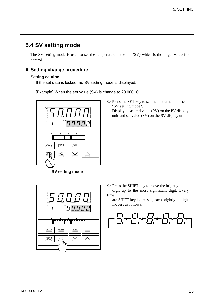#### **5.4 SV setting mode**

The SV setting mode is used to set the temperature set value (SV) which is the target value for control.

#### **Setting change procedure**

#### **Setting caution**

If the set data is locked, no SV setting mode is displayed.

[Example] When the set value (SV) is change to 20.000  $\degree$ C



**SV setting mode**



d Press the SHIFT key to move the brightly lit digit up to the most significant digit. Every time

 $\overline{O}$  Press the SET key to set the instrument to the

Display measured value (PV) on the PV display unit and set value (SV) on the SV display unit.

"SV setting mode".

are SHIFT key is pressed, each brightly lit digit movers as follows.

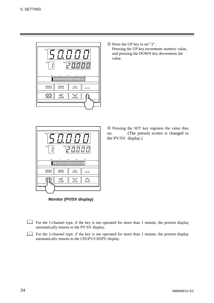

e Press the UP key to set "2". Pressing the UP key increments numeric value, and pressing the DOWN key decrements the value.



**Monitor (PV/SV display)**

f Pressing the SET key registers the value thus set. (The present screen is changed to the PV/SV display.)

- For the 1-channel type, if the key is not operated for more than 1 minute, the present display automatically returns to the PV/SV display.
- For the 2-channel type, if the key is not operated for more than 1 minute, the present display automatically returns to the CH1PV/CH2PV display.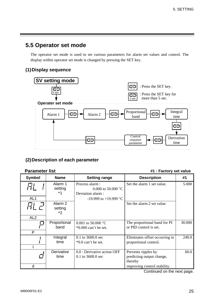#### **5.5 Operator set mode**

The operator set mode is used to set various parameters for alarm set values and control. The display within operator set mode is changed by pressing the SET key.

#### **(1) Display sequence**



#### **(2) Description of each parameter**

**Parameter list** *harameter* list *harameter* list

| Alarm 1<br>Process alarm:<br>Set the alarm 1 set value.<br>setting<br>0.000 to 50.000 $^{\circ}$ C<br>$*1$<br>Deviation alarm:<br>AL1<br>$-19.999$ to $+19.999$ °C<br>Alarm <sub>2</sub><br>Set the alarm 2 set value.<br>setting<br>$*2$<br>AL <sub>2</sub><br>Proportional<br>The proportional band for PI<br>0.001 to 50.000 $^{\circ}$ C<br>band<br>or PID control is set.<br>$*0.000$ can't be set.<br>P<br>$0.1$ to 3600.0 sec<br>Integral<br>Eliminates offset occurring in<br>time<br>proportional control.<br>$*0.0$ can't be set.<br>Derivative<br>0.0 : Derivative action OFF<br>Prevents ripples by<br>time<br>$0.1$ to 3600.0 sec<br>predicting output change,<br>thereby | Symbol | <b>Name</b> | <b>Setting range</b> | <b>Description</b> | #1     |
|----------------------------------------------------------------------------------------------------------------------------------------------------------------------------------------------------------------------------------------------------------------------------------------------------------------------------------------------------------------------------------------------------------------------------------------------------------------------------------------------------------------------------------------------------------------------------------------------------------------------------------------------------------------------------------------|--------|-------------|----------------------|--------------------|--------|
|                                                                                                                                                                                                                                                                                                                                                                                                                                                                                                                                                                                                                                                                                        |        |             |                      |                    | 5.000  |
|                                                                                                                                                                                                                                                                                                                                                                                                                                                                                                                                                                                                                                                                                        |        |             |                      |                    |        |
|                                                                                                                                                                                                                                                                                                                                                                                                                                                                                                                                                                                                                                                                                        |        |             |                      |                    |        |
|                                                                                                                                                                                                                                                                                                                                                                                                                                                                                                                                                                                                                                                                                        |        |             |                      |                    | 30.000 |
|                                                                                                                                                                                                                                                                                                                                                                                                                                                                                                                                                                                                                                                                                        |        |             |                      |                    |        |
|                                                                                                                                                                                                                                                                                                                                                                                                                                                                                                                                                                                                                                                                                        |        |             |                      |                    | 240.0  |
| d<br>improving control stability.                                                                                                                                                                                                                                                                                                                                                                                                                                                                                                                                                                                                                                                      |        |             |                      |                    | 60.0   |

Continued on the next page.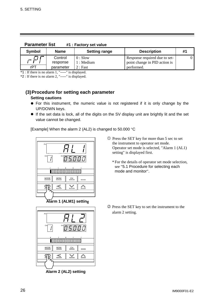| <b>Falallielei IISL</b> |                     | $\mathbf{H}$ : Factory set value |                                                                |    |
|-------------------------|---------------------|----------------------------------|----------------------------------------------------------------|----|
| <b>Symbol</b>           | <b>Name</b>         | <b>Setting range</b>             | <b>Description</b>                                             | #1 |
|                         | Control<br>response | $0:$ Slow<br>1 : Medium          | Response required due to set-<br>point change in PID action is |    |
| rPT                     | parameter           | 2:Fast                           | performed.                                                     |    |

 **Parameter list #1 : Factory set value**

\*1 : If there is no alarm 1, "-----" is displayed.

\*2 : If there is no alarm 2, "-----" is displayed.

#### **(3) Procedure for setting each parameter**

#### **Setting cautions**

- For this instrument, the numeric value is not registered if it is only change by the UP/DOWN keys.
- If the set data is lock, all of the digits on the SV display unit are brightly lit and the set value cannot be changed.

[Example] When the alarm 2 (AL2) is changed to 50.000  $\degree$ C



**Alarm 1 (ALM1) setting**



\* For the details of operator set mode selection, see "5.1 Procedure for selecting each mode and monitor".



 **Alarm 2 (AL2) setting**

d Press the SET key to set the instrument to the alarm 2 setting.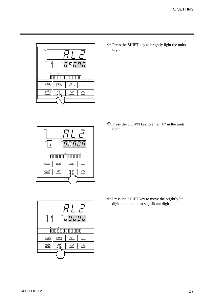

e Press the SHIFT key to brightly light the units digit.



f Press the DOWN key to enter "0" in the units digit.



g Press the SHIFT key to move the brightly lit digit up to the most significant digit.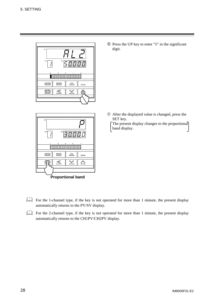



 $\circledR$  Press the UP key to enter "5" in the significant digit.

 $\oslash$  After the displayed value is changed, press the SET key.

The present display changes to the proportional band display.

- For the 1-channel type, if the key is not operated for more than 1 minute, the present display automatically returns to the PV/SV display.
- For the 2-channel type, if the key is not operated for more than 1 minute, the present display automatically returns to the CH1PV/CH2PV display.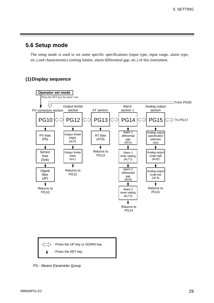#### **5.6 Setup mode**

The setup mode is used to set some specific specifications (input type, input range, alarm type, etc.) and characteristics (setting limiter, alarm differential gap, etc.) of this instrument.

#### **(1) Display sequence**



PG : Means Parameter Group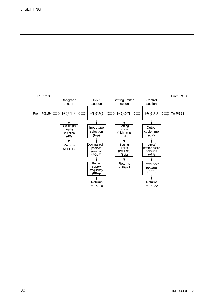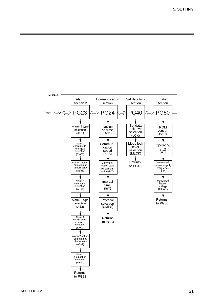5. SETTING

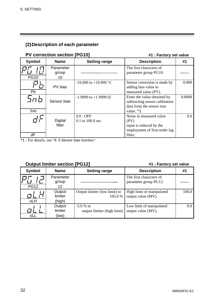#### **(2) Description of each parameter**

#### **PV correction section [PG10]** #1 : Factory set value

| <b>Symbol</b> | <b>Name</b>              | <b>Setting range</b>               | <b>Description</b>                                                                                      | #1      |
|---------------|--------------------------|------------------------------------|---------------------------------------------------------------------------------------------------------|---------|
| <b>PG10</b>   | Parameter<br>group<br>10 |                                    | The first characters of<br>parameter group PG10.                                                        |         |
| Pb            | PV bias                  | $-19.999$ to $+19.999$ °C          | Sensor correction is made by<br>adding bias value to<br>measured value (PV).                            | 0.000   |
| בח<br>Snb     | Sensor bias              | $-1.9999$ to $+1.9999 \Omega$      | Enter the value obtained by<br>subtracting sensor calibration<br>data from the sensor true<br>value. *1 | 0.0000  |
| dF            | Digital<br>filter        | $0.0:$ OFF<br>$0.1$ to $100.0$ sec | Noise in measured value<br>(PV)<br>input is reduced by the<br>employment of first-order lag<br>filter.  | $0.0\,$ |

\*1 : For details, see "9. 5 Sensor bias function."

#### **Output limiter section [PG12] All and All and All and All and All and All and All and All and All and All and All and All and All and All and All and All and All and All and All and All and All and All and All and All and**

| <b>Symbol</b>     | <b>Name</b>                 | <b>Setting range</b>                      | <b>Description</b>                               | #1    |
|-------------------|-----------------------------|-------------------------------------------|--------------------------------------------------|-------|
| Г7<br><b>PG12</b> | Parameter<br>group<br>12    |                                           | The first characters of<br>parameter group PG12. |       |
| oLH               | Output<br>limiter<br>(high) | Output limiter (low limit) to<br>105.0 %  | High limit of manipulated<br>output value (MV).  | 100.0 |
| oLL               | Output<br>limiter<br>(low)  | $-5.0%$ to<br>output limiter (high limit) | Low limit of manipulated<br>output value (MV).   | 0.0   |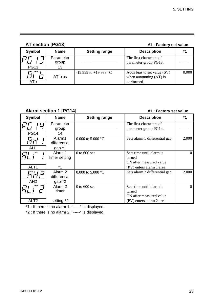#### **AT section [PG13] #1 : Factory set value**

| <b>Symbol</b> | <b>Name</b>              | <b>Setting range</b>      | <b>Description</b>                                                     | #1    |
|---------------|--------------------------|---------------------------|------------------------------------------------------------------------|-------|
| <b>PG13</b>   | Parameter<br>group<br>13 |                           | The first characters of<br>parameter group PG13.                       |       |
| ATb           | AT bias                  | $-19.999$ to $+19.999$ °C | Adds bias to set value (SV)<br>when autotuning $(AT)$ is<br>performed. | 0.000 |

#### **Alarm section 1 [PG14] #1 : Factory set value**

| Symbol                    | <b>Name</b>                         | <b>Setting range</b>        | <b>Description</b>                                                                         | #1       |
|---------------------------|-------------------------------------|-----------------------------|--------------------------------------------------------------------------------------------|----------|
| <b>PG14</b>               | Parameter<br>group<br>14            |                             | The first characters of<br>parameter group PG14.                                           |          |
| AH <sub>1</sub>           | Alarm1<br>differential<br>gap $*1$  | 0.000 to 5.000 $^{\circ}$ C | Sets alarm 1 differential gap.                                                             | 2.000    |
| ALT <sub>1</sub>          | Alarm 1<br>timer setting<br>$*1$    | $0$ to 600 sec              | Sets time until alarm is<br>turned<br>ON after measured value<br>(PV) enters alarm 1 area. | $\Omega$ |
| 67 I J<br>AH <sub>2</sub> | Alarm 2<br>differential<br>gap $*2$ | 0.000 to 5.000 $^{\circ}$ C | Sets alarm 2 differential gap.                                                             | 2.000    |
| ALT <sub>2</sub>          | Alarm 2<br>timer<br>setting *2      | $0$ to $600$ sec            | Sets time until alarm is<br>turned<br>ON after measured value<br>(PV) enters alarm 2 area. | 0        |

\*1 : If there is no alarm 1, "-----" is displayed.

\*2 : If there is no alarm 2, "-----" is displayed.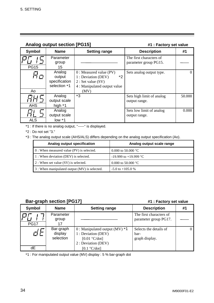|               | <b>Analog output section [PG15]</b>               | #1 : Factory set value                                                                                              |                                                  |        |
|---------------|---------------------------------------------------|---------------------------------------------------------------------------------------------------------------------|--------------------------------------------------|--------|
| <b>Symbol</b> | <b>Name</b>                                       | <b>Setting range</b>                                                                                                | <b>Description</b>                               | #1     |
| <b>PG15</b>   | Parameter<br>group<br>15                          |                                                                                                                     | The first characters of<br>parameter group PG15. |        |
| ri n<br>Ao    | Analog<br>output<br>specification<br>selection *1 | $0:$ Measured value (PV)<br>$*2$<br>1 : Deviation (DEV)<br>2: Set value(SV)<br>4 : Manipulated output value<br>(MV) | Sets analog output type.                         |        |
| <b>AHS</b>    | Analog<br>output scale<br>high $*1$               | $*3$                                                                                                                | Sets high limit of analog<br>output range.       | 50.000 |
| <b>ALS</b>    | Analog<br>output scale<br>$low *1$                |                                                                                                                     | Sets low limit of analog<br>output range.        | 0.000  |

\*2 : Do not set "3."

|                           | —,<br>Analog<br>output scale                  |                                                        |                              | Sets low limit of analog<br>output range.                                                       | 0.000 |
|---------------------------|-----------------------------------------------|--------------------------------------------------------|------------------------------|-------------------------------------------------------------------------------------------------|-------|
| <b>ALS</b>                | $low *1$                                      |                                                        |                              |                                                                                                 |       |
|                           |                                               | 1: If there is no analog output, "-----" is displayed. |                              |                                                                                                 |       |
| 2 : Do not set "3."       |                                               |                                                        |                              |                                                                                                 |       |
|                           |                                               |                                                        |                              | 3: The analog output scale (AHS/ALS) differs depending on the analog output specification (Ao). |       |
|                           | Analog output specification                   |                                                        |                              | Analog output scale range                                                                       |       |
|                           | 0 : When measured value (PV) is selected.     |                                                        | 0.000 to 50.000 $^{\circ}$ C |                                                                                                 |       |
|                           | 1 : When deviation (DEV) is selected.         |                                                        | $-19.999$ to $+19.999$ °C    |                                                                                                 |       |
|                           | $2:$ When set value (SV) is selected.         |                                                        | 0.000 to 50.000 $^{\circ}$ C |                                                                                                 |       |
|                           | 3 : When manipulated output (MV) is selected. |                                                        | $-5.0$ to $+105.0$ %         |                                                                                                 |       |
|                           |                                               |                                                        |                              |                                                                                                 |       |
|                           | <b>Bar-graph section [PG17]</b>               |                                                        |                              | #1 : Factory set value                                                                          |       |
| <b>Symbol</b>             | <b>Name</b>                                   | <b>Setting range</b>                                   |                              | <b>Description</b>                                                                              | #1    |
| $\mathbf{I}$ $\mathbf{I}$ | Parameter                                     |                                                        |                              | The first characters of                                                                         |       |

#### **Bar-graph section [PG17] Example 2018 #1** : Factory set value

| <b>Symbol</b>     | <b>Name</b>                       | <b>Setting range</b>                                                                                       | <b>Description</b>                               | #1 |
|-------------------|-----------------------------------|------------------------------------------------------------------------------------------------------------|--------------------------------------------------|----|
| Г7<br><b>PG17</b> | Parameter<br>group<br>17          |                                                                                                            | The first characters of<br>parameter group PG17. |    |
|                   | Bar-graph<br>display<br>selection | $0:$ Manipulated output (MV) $*1$<br>1 : Deviation (DEV)<br>$[0.01 \text{ °C/dot}]$<br>2 : Deviation (DEV) | Selects the details of<br>bar-<br>graph display. |    |
| dE                |                                   | $[0.1 \text{ °C/dot}]$                                                                                     |                                                  |    |

\*1 : For manipulated output value (MV) display : 5 % bar-graph dot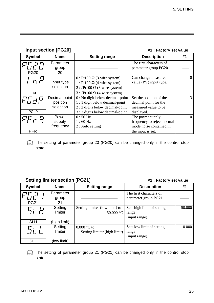|                                                                 | <b>Input section [PG20]</b>            |                                                                                                                                                           | #1 : Factory set value                                                                         |                |  |
|-----------------------------------------------------------------|----------------------------------------|-----------------------------------------------------------------------------------------------------------------------------------------------------------|------------------------------------------------------------------------------------------------|----------------|--|
| <b>Symbol</b>                                                   | <b>Name</b>                            | <b>Setting range</b>                                                                                                                                      | <b>Description</b>                                                                             | #1             |  |
| <b>PG20</b>                                                     | Parameter<br>group<br>20               |                                                                                                                                                           | The first characters of<br>parameter group PG20.                                               |                |  |
| Inp                                                             | Input type<br>selection                | $0:$ Pt100 $\Omega$ (3-wire system)<br>1 : Pt100 $\Omega$ (4-wire system)<br>$2:$ JPt100 $\Omega$ (3-wire system)<br>$3:$ JPt100 $\Omega$ (4-wire system) | Can change measured<br>value (PV) input type.                                                  | $\theta$       |  |
| PGdi<br><b>PGdP</b>                                             | Decimal point<br>position<br>selection | 0 : No digit below decimal-point<br>1 : 1 digit below decimal-point<br>$2:2$ digits below decimal-point<br>3 : 3 digits below decimal-point               | Set the position of the<br>decimal point for the<br>measured value to be<br>displayed.         | $\overline{3}$ |  |
| PFrq                                                            | Power<br>supply<br>frequency           | 0:50 Hz<br>$1:60$ Hz<br>$2:$ Auto setting                                                                                                                 | The power supply<br>frequency to reject normal<br>mode noise contained in<br>the input is set. | $\overline{0}$ |  |
| state.                                                          |                                        | The setting of parameter group 20 (PG20) can be changed only in the control stop                                                                          |                                                                                                |                |  |
| <b>Setting limiter section [PG21]</b><br>#1 : Factory set value |                                        |                                                                                                                                                           |                                                                                                |                |  |
| <b>Symbol</b>                                                   | <b>Name</b>                            | <b>Setting range</b>                                                                                                                                      | <b>Description</b>                                                                             | #1             |  |
|                                                                 | Parameter                              |                                                                                                                                                           | The first characters of                                                                        |                |  |

| <b>Setting limiter section [PG21]</b> |                                    |                                               | #1 : Factory set value                                |        |
|---------------------------------------|------------------------------------|-----------------------------------------------|-------------------------------------------------------|--------|
| <b>Symbol</b>                         | <b>Name</b>                        | <b>Setting range</b>                          | <b>Description</b>                                    | #1     |
| PG21                                  | Parameter<br>group<br>21           |                                               | The first characters of<br>parameter group PG21.      |        |
| <b>SLH</b>                            | Setting<br>limiter<br>(high limit) | Setting limiter (low limit) to<br>50.000 °C   | Sets high limit of setting<br>range<br>(input range). | 50.000 |
| <b>SLL</b>                            | Setting<br>limiter<br>(low limit)  | $0.000$ °C to<br>Setting limiter (high limit) | Sets low limit of setting<br>range<br>(input range).  | 0.000  |

The setting of parameter group 21 (PG21) can be changed only in the control stop state.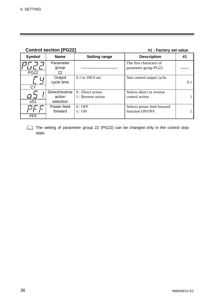| <b>Control section [PG22]</b> |                                       |                                          | #1 : Factory set value                           |     |
|-------------------------------|---------------------------------------|------------------------------------------|--------------------------------------------------|-----|
| <b>Symbol</b>                 | <b>Name</b>                           | <b>Setting range</b>                     | <b>Description</b>                               | #1  |
| <b>PG22</b>                   | Parameter<br>group<br>22              |                                          | The first characters of<br>parameter group PG22. |     |
| <b>CY</b>                     | Output<br>cycle time                  | $0.1$ to $100.0$ sec                     | Sets control output cycle.                       | 0.1 |
| oS1                           | Direct/reverse<br>action<br>selection | $0:$ Direct action<br>1 : Reverse action | Selects direct or reverse<br>control action.     |     |
| <b>PFF</b>                    | Power feed<br>forward                 | $0:$ OFF<br>1:ON                         | Selects power feed forward<br>function ON/OFF.   |     |

The setting of parameter group 22 (PG22) can be changed only in the control stop state.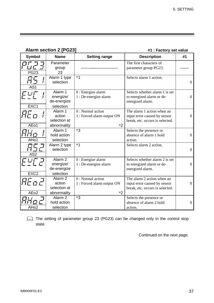| <b>Alarm section 2 [PG23]</b> |  |  |
|-------------------------------|--|--|
|-------------------------------|--|--|

**#1 : Factory set value** 

| <b>Symbol</b>                    | <b>Name</b>                                                 | <b>Setting range</b>                                    | <b>Description</b>                                                                            | #1             |
|----------------------------------|-------------------------------------------------------------|---------------------------------------------------------|-----------------------------------------------------------------------------------------------|----------------|
| <b>PG23</b>                      | Parameter<br>group<br>23                                    |                                                         | The first characters of<br>parameter group PG23.                                              |                |
| AS <sub>1</sub>                  | Alarm 1 type<br>selection                                   | $*1$                                                    | Selects alarm 1 action.                                                                       | $\overline{0}$ |
| Fu厂<br>EXC1                      | Alarm 1<br>energize/<br>de-energize<br>selection            | $0:$ Energize alarm<br>1 : De-energize alarm            | Selects whether alarm 1 is set<br>to energized alarm or de-<br>energized alarm.               | $\overline{0}$ |
| AEo1                             | Alarm 1<br>action<br>selection at<br>abnormality            | 0 : Normal action<br>1 : Forced alarm output ON<br>$*2$ | The alarm 1 action when an<br>input error caused by sensor<br>break, etc. occurs is selected. | $\overline{0}$ |
| .Hoʻ                             | Alarm 1<br>hold action<br>selection                         | $*3$                                                    | Selects the presence or<br>absence of alarm 1 hold<br>action.                                 | $\overline{0}$ |
| AS <sub>2</sub>                  | Alarm 2 type<br>selection                                   | $*1$                                                    | Selects alarm 2 action.                                                                       | $\overline{0}$ |
| EXC <sub>2</sub>                 | Alarm <sub>2</sub><br>energize/<br>de-energize<br>selection | $0:$ Energize alarm<br>1 : De-energize alarm            | Selects whether alarm 2 is set<br>to energized alarm or de-<br>energized alarm.               | $\overline{0}$ |
| <i>REoE</i><br>AE <sub>o</sub> 2 | Alarm <sub>2</sub><br>action<br>selection at<br>abnormality | 0 : Normal action<br>1 : Forced alarm output ON<br>$*2$ | The alarm 2 action when an<br>input error caused by sensor<br>break, etc. occurs is selected. | $\overline{0}$ |
| AH <sub>o</sub> 2                | Alarm <sub>2</sub><br>hold action<br>selection              | $*3$                                                    | Selects the presence or<br>absence of alarm 2 hold<br>action.                                 | $\overline{0}$ |

The setting of parameter group 23 (PG23) can be changed only in the control stop state.

Continued on the next page.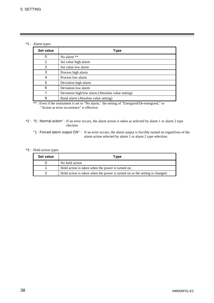\*1 : Alarm types

| Set value | <b>Type</b>                                       |
|-----------|---------------------------------------------------|
| 0         | No alarm **                                       |
|           | Set value high alarm                              |
| 2         | Set value low alarm                               |
| 3         | Process high alarm                                |
| 4         | Process low alarm                                 |
| 5         | Deviation high alarm                              |
| 6         | Deviation low alarm                               |
|           | Deviation high/low alarm (Absolute value setting) |
| 8         | Band alarm (Absolute value setting)               |

\*\*: Even if the instrument is set to "No alarm," the setting of "Energized/De-energized," or "Action at error occurrence" is effective.

- \*2 :"0 : Normal action" : If an error occurs, the alarm action is taken as selected by alarm 1 or alarm 2 type election.
	- "1 : Forced alarm output ON" : If an error occurs, the alarm output is forcibly turned on regard1ess of the alarm action selected by alarm 1 or alarm 2 type selection.

#### \*3 : Hold action types

| Set value | Type                                                                        |
|-----------|-----------------------------------------------------------------------------|
|           | No hold action                                                              |
|           | Hold action is taken when the power is turned on.                           |
|           | Hold action is taken when the power is turned on or the setting is changed. |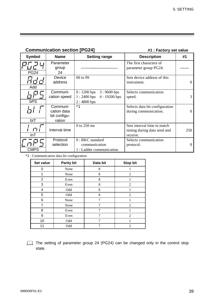#### **Communication section [PG24]** #1 : Factory set value

| Symbol             | <b>Name</b>                             | <b>Setting range</b>                                                          | <b>Description</b>                                                     | #1       |
|--------------------|-----------------------------------------|-------------------------------------------------------------------------------|------------------------------------------------------------------------|----------|
|                    | Parameter<br>group                      |                                                                               | The first characters of<br>parameter group PG24.                       |          |
| <b>PG24</b><br>Add | 24<br>Device<br>address                 | 00 to 99                                                                      | Sets device address of this<br>instrument.                             | 0        |
| bPS                | Communi-<br>cation speed                | $0:1200$ bps<br>$3:9600$ bps<br>$1:2400$ bps<br>$4:19200$ bps<br>$2:4800$ bps | Selects communication<br>speed.                                        | 3        |
|                    | Communi-<br>cation data<br>bit configu- | $*1$                                                                          | Selects data bit configuration<br>during communication.                | $\Omega$ |
| bIT<br>InT         | ration<br>Interval time                 | $0$ to 250 ms                                                                 | Sets interval time to match<br>timing during data send and<br>receive. | 250      |
| <b>CMPS</b>        | Protocol<br>selection                   | $0: RKC$ standard<br>communication<br>1 : Ladder communication                | Selects communication<br>protocol.                                     | 0        |

\*1 : Communication data bit configuration

| Set value      | <b>Parity bit</b> | Data bit | <b>Stop bit</b> |
|----------------|-------------------|----------|-----------------|
| 0              | None              | 8        |                 |
| 1              | None              | 8        | $\overline{2}$  |
| $\overline{2}$ | Even              | 8        |                 |
| 3              | Even              | 8        | $\overline{c}$  |
| 4              | Odd               | 8        |                 |
| 5              | Odd               | 8        | $\overline{2}$  |
| 6              | None              | 7        |                 |
| 7              | None              | 7        | $\overline{2}$  |
| 8              | Even              | 7        |                 |
| 9              | Even              | 7        | $\overline{2}$  |
| 10             | Odd               |          |                 |
| 11             | Odd               | 7        | $\overline{c}$  |

The setting of parameter group 24 (PG24) can be changed only in the control stop state.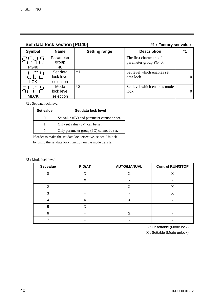| Set data lock section [PG40] |                                     |                      | #1 : Factory set value                           |    |
|------------------------------|-------------------------------------|----------------------|--------------------------------------------------|----|
| <b>Symbol</b>                | <b>Name</b>                         | <b>Setting range</b> | <b>Description</b>                               | #1 |
| <b>PG40</b>                  | Parameter<br>group<br>40            |                      | The first characters of<br>parameter group PG40. |    |
| <b>LCK</b>                   | Set data<br>lock level<br>selection | $*1$                 | Set level which enables set<br>data lock.        |    |
| <b>MLCK</b>                  | Mode<br>lock level<br>selection     | $*2$                 | Set level which enables mode<br>lock.            |    |

#### \*1 : Set data lock level

| Set value | Set data lock level                         |  |
|-----------|---------------------------------------------|--|
|           | Set value (SV) and parameter cannot be set. |  |
|           | Only set value (SV) can be set.             |  |
|           | Only parameter group (PG) cannot be set.    |  |

If order to make the set data lock effective, select "Unlock"

by using the set data lock function on the mode transfer.

#### \*2 : Mode lock level

| Set value | <b>PID/AT</b> | <b>AUTO/MANUAL</b> | <b>Control RUN/STOP</b> |
|-----------|---------------|--------------------|-------------------------|
|           | X             | X                  | X                       |
|           | X             |                    | X                       |
| っ         |               | X                  | X                       |
| っ         |               |                    | X                       |
|           | X             | X                  |                         |
| 5         | X             |                    |                         |
| 6         |               | X                  |                         |
|           |               |                    |                         |

- : Unsettable (Mode lock)

X : Settable (Mode unlock)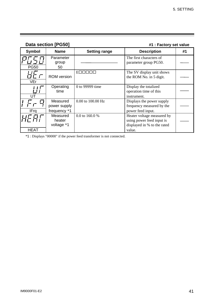| Data section [PG50] |                                          |                      | #1 : Factory set value                                                                           |    |  |
|---------------------|------------------------------------------|----------------------|--------------------------------------------------------------------------------------------------|----|--|
| <b>Symbol</b>       | <b>Name</b>                              | <b>Setting range</b> | <b>Description</b>                                                                               | #1 |  |
| <b>PG50</b>         | Parameter<br>group<br>50                 |                      | The first characters of<br>parameter group PG50.                                                 |    |  |
| VEr                 | <b>ROM</b> version                       | $E\Box \Box$         | The SV display unit shows<br>the ROM No. in 5 digit.                                             |    |  |
| UT                  | Operating<br>time                        | 0 to 99999 time      | Display the totalized<br>operation time of this<br>instrument.                                   |    |  |
| IFra                | Measured<br>power supply<br>frequency *1 | 0.00 to 100.00 Hz    | Displays the power supply<br>frequency measured by the<br>power feed input.                      |    |  |
| <b>HEAT</b>         | Measured<br>heater<br>voltage *1         | 0.0 to 160.0 %       | Heater voltage measured by<br>using power feed input is<br>displayed in % to the rated<br>value. |    |  |

\*1 : Displays "00000" if the power feed transformer is not connected.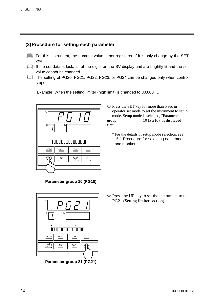#### **(3) Procedure for setting each parameter**

- For this instrument, the numeric value is not registered if it is only change by the SET key.
- If the set data is lock, all of the digits on the SV display unit are brightly lit and the set value cannot be changed.
- The setting of PG20, PG21, PG22, PG23, or PG24 can be changed only when control stops.

[Example] When the setting limiter (high limit) is changed to 30.000  $\degree$ C



c Press the SET key for more than 5 sec in operator set mode to set the instrument to setup mode. Setup mode is selected, "Parameter group 10 (PG10)" is displayed first.

\* For the details of setup mode selection, see "5.1 Procedure for selecting each mode and monitor".





d Press the UP key to set the instrument to the PG21 (Setting limiter section).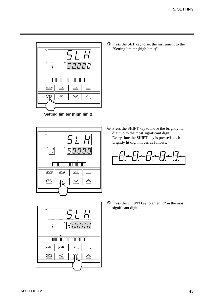

**Setting limiter (high limit)**





e Press the SET key to set the instrument to the "Setting limiter (high limit)".

f Press the SHIFT key to move the brightly lit digit up to the most significant digit. Every time the SHIFT key is pressed, each brightly lit digit moves as follows.



g Press the DOWN key to enter "3" in the most significant digit.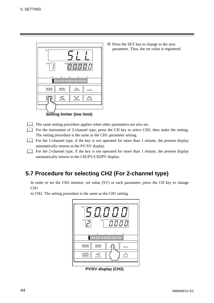

h Press the SET key to change to the next parameter. Thus, the set value is registered.

- The same setting procedure applies when other parameters are also set.
- For the instrument of 2-channel type, press the CH key to select CH2, then make the setting. The setting procedure is the same as the CH1 parameter setting.
- For the 1-channel type, if the key is not operated for more than 1 minute, the present display automatically returns to the PV/SV display.
- For the 2-channel type, if the key is not operated for more than 1 minute, the present display automatically returns to the CH1PV/CH2PV display.

#### **5.7 Procedure for selecting CH2 (For 2-channel type)**

In order to set the CH2 monitor, set value (SV) or each parameter, press the CH key to change CH1

to CH2. The setting procedure is the same as the CH1 setting.



**PV/SV display (CH2)**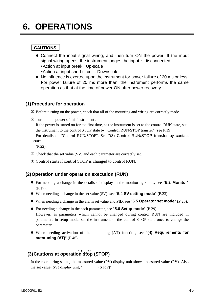## **6. OPERATIONS**

#### **CAUTIONS**

- Connect the input signal wiring, and then turn ON the power. If the input signal wiring opens, the instrument judges the input is disconnected.
	- Action at input break : Up-scale
	- Action at input short circuit : Downscale
- No influence is exerted upon the instrument for power failure of 20 ms or less. For power failure of 20 ms more than, the instrument performs the same operation as that at the time of power-ON after power recovery.

#### **(1) Procedure for operation**

c Before turning on the power, check that all of the mounting and wiring are correctly made.

d Turn on the power of this instrument .

If the power is turned on for the first time, as the instrument is set to the control RUN state, set the instrument to the control STOP state by "Control RUN/STOP transfer" (see P.19).

For details on "Control RUN/STOP", See "(3) Control RUN/STOP transfer by contact input"

(P.22).

- e Check that the set value (SV) and each parameter are correctly set.
- $\circledA$  Control starts if control STOP is changed to control RUN.

#### **(2) Operation under operation execution (RUN)**

- z For needing a change in the details of display in the monitoring status, see "**5.2 Monitor**" (P.17).
- When needing a change in the set value (SV), see "**5.4 SV setting mode**" (P.23).
- When needing a change in the alarm set value and PID, see "**5.5 Operator set mode**" (P.25).
- For needing a change in the each parameter, see "**5.6 Setup mode**" (P.29). However, as parameters which cannot be changed during control RUN are included in parameters in setup mode, set the instrument to the control STOP state once to change the parameter.
- When needing activation of the autotuning (AT) function, see "(4) Requirements for **autotuning (AT)**" (P.46).

### **(3) Cautions at operation stop (STOP)**

In the monitoring status, the measured value (PV) display unit shows measured value (PV). Also the set value  $(SV)$  display unit, "  $(STop)$ ".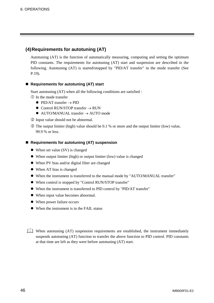#### **(4) Requirements for autotuning (AT)**

Autotuning (AT) is the function of automatically measuring, computing and setting the optimum PID constants. The requirements for autotuning (AT) start and suspension are described in the following. Autotuning (AT) is started/stopped by "PID/AT transfer" in the mode transfer (See P.19).

#### ■ Requirements for autotuning (AT) start

Start autotuning (AT) when all the following conditions are satisfied :

- c In the mode transfer
	- $\bullet$  PID/AT transfer  $\rightarrow$  PID
	- $\bullet$  Control RUN/STOP transfer  $\rightarrow$  RUN
	- $\bullet$  AUTO/MANUAL transfer  $\rightarrow$  AUTO mode
- d Input value should not be abnormal.
- $\circled{3}$  The output limiter (high) value should be 0.1 % or more and the output limiter (low) value, 99.9 % or less.

#### ■ Requirements for autotuning (AT) suspension

- $\bullet$  When set value (SV) is changed
- $\bullet$  When output limiter (high) or output limiter (low) value is changed
- When PV bias and/or digital filter are changed
- $\bullet$  When AT bias is changed
- When the instrument is transferred to the manual mode by "AUTO/MANUAL transfer"
- When control is stopped by "Control RUN/STOP transfer"
- When the instrument is transferred to PID control by "PID/AT transfer"
- When input value becomes abnormal.
- When power failure occurs
- $\bullet$  When the instrument is in the FAIL status

When autotuning (AT) suspension requirements are established, the instrument immediately suspends autotuning (AT) function to transfer the above function to PID control. PID constants at that time are left as they were before autotuning (AT) start.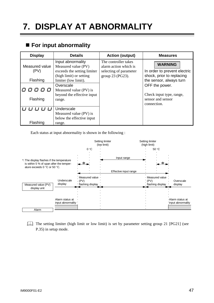## **7. DISPLAY AT ABNORMALITY**

#### **For input abnormality**

| <b>Display</b>         | <b>Details</b>                                                                                     | <b>Action (output)</b>                                                                      | <b>Measures</b>                                                                |
|------------------------|----------------------------------------------------------------------------------------------------|---------------------------------------------------------------------------------------------|--------------------------------------------------------------------------------|
| Measured value<br>(PV) | Input abnormality<br>Measured value (PV)<br>exceeds the setting limiter<br>(high limit) or setting | The controller takes<br>alarm action which is<br>selecting of parameter<br>group 23 (PG23). | <b>WARNING</b><br>In order to prevent electric<br>shock, prior to replacing    |
| Flashing               | limiter (low limit).                                                                               |                                                                                             | the sensor, always turn                                                        |
| 口 口<br>Flashing        | Overscale<br>Measured value (PV) is<br>beyond the effective input<br>range.                        |                                                                                             | OFF the power.<br>Check input type, range,<br>sensor and sensor<br>connection. |
| Flashing               | Underscale<br>Measured value (PV) is<br>below the effective input<br>range.                        |                                                                                             |                                                                                |

Each status at input abnormality is shown in the following :



The setting limiter (high limit or low limit) is set by parameter setting group 21 [PG21] (see P.35) in setup mode.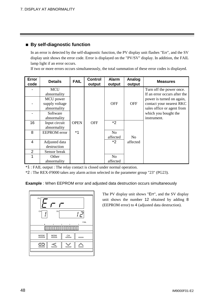#### **By self-diagnostic function**

In an error is detected by the self-diagnostic function, the PV display unit flashes "Err", and the SV display unit shows the error code. Error is displayed on the "PV/SV" display. In addition, the FAIL lamp light if an error occurs.

If two or more errors occurs simultaneously, the total summation of these error codes is displayed.

| <b>Error</b><br>code | <b>Details</b>      | <b>FAIL</b> | <b>Control</b><br>output | <b>Alarm</b><br>output | Analog<br>output | <b>Measures</b>              |
|----------------------|---------------------|-------------|--------------------------|------------------------|------------------|------------------------------|
|                      | <b>MCU</b>          |             |                          |                        |                  | Turn off the power once.     |
|                      | abnormality         |             |                          |                        |                  | If an error occurs after the |
|                      | MCU power           |             |                          |                        |                  | power is turned on again,    |
|                      | supply voltage      |             |                          | <b>OFF</b>             | <b>OFF</b>       | contact your nearest RKC     |
|                      | abnormality         |             |                          |                        |                  | sales office or agent from   |
|                      | Software            |             |                          |                        |                  | which you bought the         |
|                      | abnormality         |             |                          |                        |                  | instrument.                  |
| 16                   | Input circuit       | <b>OPEN</b> | <b>OFF</b>               | $*2$                   |                  |                              |
|                      | abnormality         |             |                          |                        |                  |                              |
| 8                    | <b>EEPROM</b> error | $*1$        |                          | N <sub>o</sub>         |                  |                              |
|                      |                     |             |                          | affected               | N <sub>0</sub>   |                              |
| 4                    | Adjusted data       |             |                          | $*2$                   | affected         |                              |
|                      | destruction         |             |                          |                        |                  |                              |
| 2                    | Sensor break        |             |                          |                        |                  |                              |
|                      | Other               |             |                          | N <sub>o</sub>         |                  |                              |
|                      | abnormality         |             |                          | affected               |                  |                              |

\*1 : FAIL output : The relay contact is closed under normal operation.

\*2 : The REX-F9000 takes any alarm action selected in the parameter group "23" (PG23).

**Example** : When EEPROM error and adjusted data destruction occurs simultaneously



The PV display unit shows "Err", and the SV display unit shows the number 12 obtained by adding 8 (EEPROM error) to 4 (adjusted data destruction).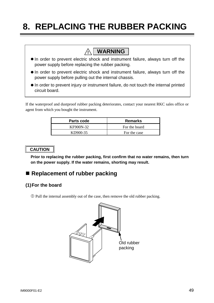## **8. REPLACING THE RUBBER PACKING**

### **! WARNING**

- $\bullet$  In order to prevent electric shock and instrument failure, always turn off the power supply before replacing the rubber packing.
- $\bullet$  In order to prevent electric shock and instrument failure, always turn off the power supply before pulling out the internal chassis.
- $\bullet$  In order to prevent injury or instrument failure, do not touch the internal printed circuit board.

If the waterproof and dustproof rubber packing deteriorates, contact your nearest RKC sales office or agent from which you bought the instrument.

| Parts code | <b>Remarks</b> |
|------------|----------------|
| KF900N-32  | For the board  |
| KD900-35   | For the case   |

#### **CAUTION**

**Prior to replacing the rubber packing, first confirm that no water remains, then turn on the power supply. If the water remains, shorting may result.**

#### **Replacement of rubber packing**

#### **(1) For the board**

c Pull the internal assembly out of the case, then remove the old rubber packing.

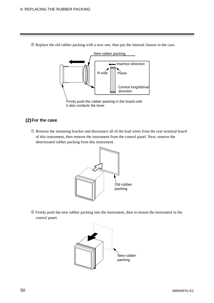- New rubber packing Central longittidinal direction Insertion direction  $R$ -side  $\vert$  Plane Firmly push the rubber packing in the board until it also contacts the lever.
- d Replace the old rubber packing with a new one, then put the internal chassis in the case.

#### **(2) For the case**

c Remove the mounting bracket and disconnect all of the lead wires from the rear terminal board of this instrument, then remove the instrument from the control panel. Next, remove the deteriorated rubber packing from this instrument.



d Firmly push the new rubber packing into the instrument, then re-mount the instrument in the control panel.

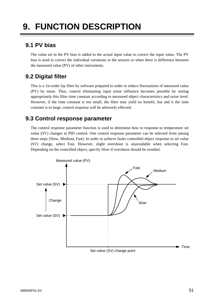## **9. FUNCTION DESCRIPTION**

#### **9.1 PV bias**

The value set in the PV bias is added to the actual input value to correct the input value. The PV bias is used to correct the individual variations in the sensors or when there is difference between the measured value (PV) of other instruments.

#### **9.2 Digital filter**

This is a 1st-order lay filter by software prepared in order to reduce fluctuations of measured value (PV) by noise. Thus, control eliminating input noise influence becomes possible by setting appropriately this filter time constant according to measured object characteristics and noise level. However, if the time constant is too small, the filter may yield no benefit, but and it the time constant is to large, control response will be adversely effected.

#### **9.3 Control response parameter**

The control response parameter function is used to determine how to response to temperature set value (SV) changes in PID control. One control response parameter can be selected from among three steps (Slow, Medium, Fast). In order to achieve faster controlled object response to set value (SV) change, select Fast. However, slight overshoot is unavoidable when selecting Fast. Depending on the controlled object, specify Slow if overshoot should be avoided.

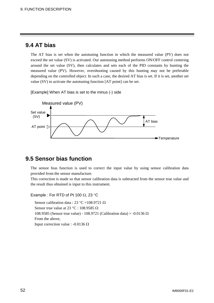#### **9.4 AT bias**

The AT bias is set when the autotuning function in which the measured value (PV) does not exceed the set value (SV) is activated. Our autotuning method performs ON/OFF control centering around the set value (SV), then calculates and sets each of the PID constants by hunting the measured value (PV). However, overshooting caused by this hunting may not be preferable depending on the controlled object. In such a case, the desired AT bias is set. If it is set, another set value (SV) to activate the autotuning function [AT point] can be set.

[Example] When AT bias is set to the minus (-) side



#### **9.5 Sensor bias function**

The sensor bias function is used to correct the input value by using sensor calibration data provided from the sensor manufacture.

This correction is made so that sensor calibration data is subtracted from the sensor true value and the result thus obtained is input to this instrument.

Example : For RTD of Pt 100  $\Omega$ , 23 °C

Sensor calibration data : 23 °C = 108.9721  $\Omega$ Sensor true value at 23 °C : 108.9585  $\Omega$ 108.9585 (Sensor true value) - 108.9721 (Calibration data) = -0.0136  $\Omega$  From the above, Input correction value : -0.0136  $\Omega$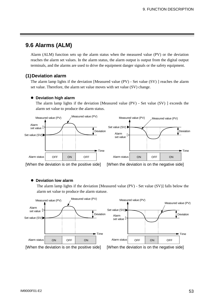#### **9.6 Alarms (ALM)**

Alarm (ALM) function sets up the alarm status when the measured value (PV) or the deviation reaches the alarm set values. In the alarm status, the alarm output is output from the digital output terminals, and the alarms are used to drive the equipment danger signals or the safety equipment.

#### **(1) Deviation alarm**

The alarm lamp lights if the deviation [Measured value (PV) - Set value (SV) ] reaches the alarm set value. Therefore, the alarm set value moves with set value (SV) change.

#### **• Deviation high alarm**

The alarm lamp lights if the deviation [Measured value (PV) - Set value (SV) ] exceeds the alarm set value to produce the alarm status.



[When the deviation is on the positive side] [When the deviation is on the negative side]

#### **• Deviation low alarm**

The alarm lamp lights if the deviation [Measured value (PV) - Set value (SV)] falls below the alarm set value to produce the alarm statuse.

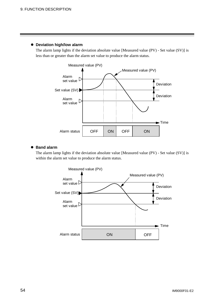#### **• Deviation high/low alarm**

The alarm lamp lights if the deviation absolute value [Measured value (PV) - Set value (SV)] is less than or greater than the alarm set value to produce the alarm status.



#### $\bullet$  Band alarm

The alarm lamp lights if the deviation absolute value [Measured value (PV) - Set value (SV)] is within the alarm set value to produce the alarm status.

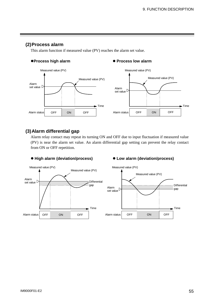#### **(2) Process alarm**

This alarm function if measured value (PV) reaches the alarm set value.

#### **• Process high alarm** *Process low alarm*



#### **(3) Alarm differential gap**

Alarm relay contact may repeat its turning ON and OFF due to input fluctuation if measured value (PV) is near the alarm set value. An alarm differential gap setting can prevent the relay contact from ON or OFF repetition.



#### ● High alarm (deviation/process) ● Low alarm (deviation/process)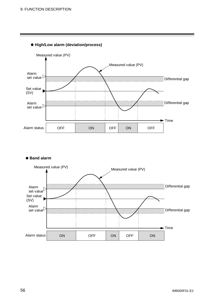

#### z **High/Low alarm (deviation/process)**

#### z **Band alarm**

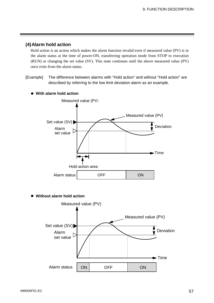#### **(4) Alarm hold action**

Hold action is an action which makes the alarm function invalid even if measured value (PV) is in the alarm status at the time of power-ON, transferring operation mode from STOP to execution (RUN) or changing the set value (SV). This state continues until the above measured value (PV) once exits from the alarm status.

[Example] The difference between alarms with "Hold action" and without "Hold action" are described by referring to the low limit deviation alarm as an example.



 $\bullet$  With alarm hold action

z **Without alarm hold action**

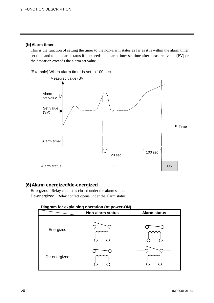#### **(5) Alarm timer**

This is the function of setting the timer to the non-alarm status as far as it is within the alarm timer set time and to the alarm status if it exceeds the alarm timer set time after measured value (PV) or the deviation exceeds the alarm set value.

[Example] When alarm timer is set to 100 sec.



#### **(6) Alarm energized/de-energized**

Energized : Relay contact is closed under the alarm status. De-energized : Relay contact opens under the alarm status.

#### **Diagram for explaining operation (At power-ON)**

| .ט           | ฃ.<br>- 12<br>-г<br>Non-alarm status | <b>Alarm status</b> |
|--------------|--------------------------------------|---------------------|
| Energized    |                                      |                     |
| De-energized |                                      |                     |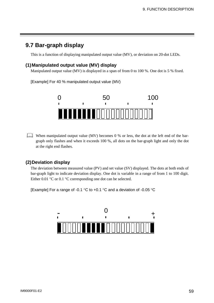#### **9.7 Bar-graph display**

This is a function of displaying manipulated output value (MV), or deviation on 20-dot LEDs.

#### **(1) Manipulated output value (MV) display**

Manipulated output value (MV) is displayed in a span of from 0 to 100 %. One dot is 5 % fixed.

[Example] For 40 % manipulated output value (MV)



When manipulated output value (MV) becomes 0 % or less, the dot at the left end of the bargraph only flashes and when it exceeds 100 %, all dots on the bar-graph light and only the dot at the right end flashes.

#### **(2) Deviation display**

The deviation between measured value (PV) and set value (SV) displayed. The dots at both ends of bar-graph light to indicate deviation display. One dot is variable in a range of from 1 to 100 digit. Either 0.01  $\degree$ C or 0.1  $\degree$ C corresponding one dot can be selected.

[Example] For a range of -0.1  $\degree$ C to +0.1  $\degree$ C and a deviation of -0.05  $\degree$ C

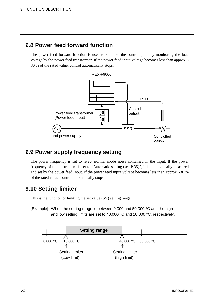#### **9.8 Power feed forward function**

The power feed forward function is used to stabilize the control point by monitoring the load voltage by the power feed transformer. If the power feed input voltage becomes less than approx. - 30 % of the rated value, control automatically stops.



#### **9.9 Power supply frequency setting**

The power frequency is set to reject normal mode noise contained in the input. If the power frequency of this instrument is set to "Automatic setting (see P.35)", it is automatically measured and set by the power feed input. If the power feed input voltage becomes less than approx. -30 % of the rated value, control automatically stops.

#### **9.10 Setting limiter**

This is the function of limiting the set value (SV) setting range.

[Example] When the setting range is between 0.000 and 50.000  $\degree$ C and the high and low setting limits are set to 40.000  $\mathrm{°C}$  and 10.000  $\mathrm{°C}$ , respectively.

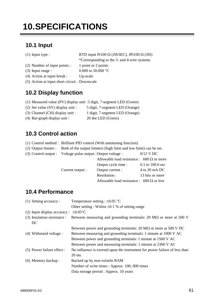## **10.SPECIFICATIONS**

#### **10.1 Input**

(1) Input type :

| RTD input Pt100 $\Omega$ (JIS/IEC), JPt100 $\Omega$ (JIS) |  |
|-----------------------------------------------------------|--|
|-----------------------------------------------------------|--|

\*Corresponding to the 3- and 4-wire systems

- (2) Number of input points : 1 point or 2 points
- (3) Input range : 0.000 to 50.000  $\degree$ C
- (4) Action at input break : Up-scale
- (5) Action at input short circuit : Downscale

#### **10.2 Display function**

- (1) Measured value (PV) display unit :5 digit, 7-segment LED (Green)
- (2) Set value (SV) display unit : 5 digit, 7-segment LED (Orange)
- (3) Channel (CH) display unit : 1 digit, 7-segment LED (Orange)
- (4) Bar-graph display unit : 20 dot LED (Green)

#### **10.3 Control action**

(1) Control method : Brilliant PID control (With autotuning function)

| $(2)$ Output limiter : | Both of the output limiters (high limit and low limit) can be set. |             |
|------------------------|--------------------------------------------------------------------|-------------|
| (3) Control output :   | Voltage pulse output : Output voltage :                            | $0/12$ V DC |

|  |                  | Allowable load resistance : 600 $\Omega$ or more |                    |
|--|------------------|--------------------------------------------------|--------------------|
|  |                  | Output cycle time :                              | 0.1 to $100.0$ sec |
|  | Current output : | Output current :                                 | 4 to 20 mA DC      |
|  |                  | Resolution :                                     | 13 bits or more    |
|  |                  | Allowable load resistance : $600 \Omega$ or less |                    |

#### **10.4 Performance**

| (1) Setting accuracy :       | Temperature setting : $\pm 0.05$ °C                                             |
|------------------------------|---------------------------------------------------------------------------------|
|                              | Other setting: Within $\pm 0.1$ % of setting range                              |
| (2) Input display accuracy : | $\pm 0.05$ °C                                                                   |
| (3) Insulation resistance :  | Between measuring and grounding terminals: 20 $\text{M}\Omega$ or more at 500 V |
| DC                           |                                                                                 |
|                              | Between power and grounding terminals: $20 \text{ M}\Omega$ or more at 500 V DC |
| (4) Withstand voltage :      | Between measuring and grounding terminals: 1 minute at 1000 V AC                |
|                              | Between power and grounding terminals: 1 minute at 1500 V AC                    |
|                              | Between power and measuring terminals: 1 minute at 2300 V AC                    |
| (5) Power failure effect :   | No influence is exerted upon the instrument for power failure of less than      |
|                              | 20 ms.                                                                          |
| (6) Memory backup:           | Backed up by non-volatile RAM                                                   |
|                              | Number of write times : Approx. 100, 000 times                                  |
|                              | Data storage period : Approx. 10 years                                          |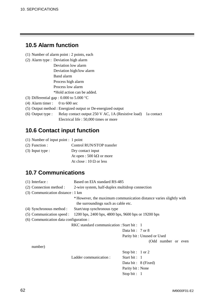#### **10.5 Alarm function**

- (1) Number of alarm point : 2 points, each
- (2) Alarm type : Deviation high alarm

Deviation low alarm Deviation high/low alarm Band alarm Process high alarm Process low alarm \*Hold action can be added.

- (3) Differential gap : 0.000 to 5.000  $^{\circ}$ C
- (4) Alarm timer :  $0$  to 600 sec
- (5) Output method : Energized output or De-energized output
- (6) Output type : Relay contact output 250 V AC, 1A (Resistive load) 1a contact Electrical life : 50,000 times or more

#### **10.6 Contact input function**

- (1) Number of input point : 1 point
- (2) Function : Control RUN/STOP transfer

(3) Input type : Dry contact input

At open :  $500 \text{ k}\Omega$  or more

At close :  $10 \Omega$  or less

#### **10.7 Communications**

| $(1)$ Interface :                      | Based on EIA standard RS-485                        |                                                                    |  |
|----------------------------------------|-----------------------------------------------------|--------------------------------------------------------------------|--|
| (2) Connection method :                | 2-wire system, half-duplex multidrop connection     |                                                                    |  |
| (3) Communication distance : 1 km      |                                                     |                                                                    |  |
|                                        |                                                     | * However, the maximum communication distance varies slightly with |  |
|                                        | the surroundings such as cable etc.                 |                                                                    |  |
| (4) Synchronous method :               | Start/stop synchronous type                         |                                                                    |  |
| (5) Communication speed :              | 1200 bps, 2400 bps, 4800 bps, 9600 bps or 19200 bps |                                                                    |  |
| (6) Communication data configuration : |                                                     |                                                                    |  |
|                                        | RKC standard communication : Start bit : 1          |                                                                    |  |
|                                        |                                                     | Data bit: $7 \text{ or } 8$                                        |  |
|                                        |                                                     | Parity bit: Unused or Used                                         |  |
|                                        |                                                     | (Odd number or even                                                |  |
| number)                                |                                                     |                                                                    |  |
|                                        |                                                     | Stop bit: $1$ or $2$                                               |  |
|                                        | Ladder communication:                               | Start bit: $1$                                                     |  |
|                                        |                                                     | Data bit: 8 (Fixed)                                                |  |
|                                        |                                                     | Parity bit: None                                                   |  |
|                                        |                                                     | Stop bit: $1$                                                      |  |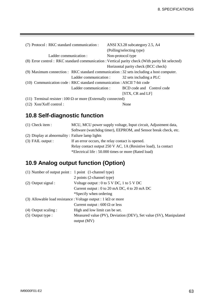| (7) Protocol: RKC standard communication:                                                       | ANSI X3.28 subcategory 2.5, A4<br>(Polling/selecting type) |  |
|-------------------------------------------------------------------------------------------------|------------------------------------------------------------|--|
| Ladder communication :                                                                          | Non-protocol type                                          |  |
| (8) Error control: RKC standard communication: Vertical parity check (With parity bit selected) |                                                            |  |
|                                                                                                 | Horizontal parity check (BCC check)                        |  |
| (9) Maximum connection : RKC standard communication : 32 sets including a host computer.        |                                                            |  |
| Ladder communication :                                                                          | 32 sets including a PLC                                    |  |
| (10) Communication code : RKC standard communication : ASCII 7-bit code                         |                                                            |  |
| Ladder communication :                                                                          | BCD code and Control code                                  |  |
|                                                                                                 | $[STX, CR \text{ and } LF]$                                |  |
| (11) Terminal resister : 100 $\Omega$ or more (Externally connected)                            |                                                            |  |
| $(12)$ Xon/Xoff control:                                                                        | None                                                       |  |

### **10.8 Self-diagnostic function**

| $(1)$ Check item :                              | MCU, MCU power supply voltage, Input circuit, Adjustment data,  |
|-------------------------------------------------|-----------------------------------------------------------------|
|                                                 | Software (watchdog timer), EEPROM, and Sensor break check, etc. |
| (2) Display at abnormality: Failure lamp lights |                                                                 |
| $(3)$ FAIL output :                             | If an error occurs, the relay contact is opened.                |
|                                                 | Relay contact output 250 V AC, 1A (Resistive load), 1a contact  |
|                                                 | *Electrical life : 50.000 times or more (Rated load)            |

### **10.9 Analog output function (Option)**

|  |                        | (1) Number of output point : 1 point (1-channel type)                 |
|--|------------------------|-----------------------------------------------------------------------|
|  |                        | 2 points (2-channel type)                                             |
|  | $(2)$ Output signal :  | Voltage output : 0 to 5 V DC, 1 to 5 V DC                             |
|  |                        | Current output : 0 to 20 mA DC, 4 to 20 mA DC                         |
|  |                        | *Specify when ordering                                                |
|  |                        | (3) Allowable load resistance : Voltage output : 1 k $\Omega$ or more |
|  |                        | Current output : 600 $\Omega$ or less                                 |
|  | $(4)$ Output scaling : | High and low limit can be set.                                        |
|  | $(5)$ Output type :    | Measured value (PV), Deviation (DEV), Set value (SV), Manipulated     |
|  |                        | output(MV)                                                            |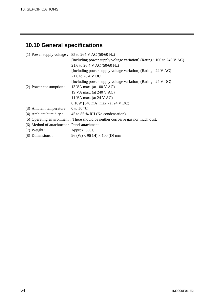### **10.10 General specifications**

|                                             | (1) Power supply voltage : $85$ to 264 V AC (50/60 Hz)                           |
|---------------------------------------------|----------------------------------------------------------------------------------|
|                                             | [Including power supply voltage variation] (Rating : 100 to 240 V AC)            |
|                                             | 21.6 to 26.4 V AC (50/60 Hz)                                                     |
|                                             | [Including power supply voltage variation] (Rating : 24 V AC)                    |
|                                             | 21.6 to 26.4 V DC                                                                |
|                                             | [Including power supply voltage variation] (Rating : 24 V DC)                    |
| (2) Power consumption :                     | 13 VA max. (at 100 V AC)                                                         |
|                                             | 19 VA max. (at 240 V AC)                                                         |
|                                             | 11 VA max. (at 24 V AC)                                                          |
|                                             | 8.16W [340 mA] max. (at 24 V DC)                                                 |
| (3) Ambient temperature :                   | 0 to 50 $\degree$ C                                                              |
|                                             | (4) Ambient humidity: $45$ to 85 % RH (No condensation)                          |
|                                             | (5) Operating environment : There should be neither corrosive gas nor much dust. |
| (6) Method of attachment : Panel attachment |                                                                                  |
| $(7)$ Weight :                              | Approx. $530g$                                                                   |
| $(8)$ Dimensions :                          | $96$ (W) $\times$ 96 (H) $\times$ 100 (D) mm                                     |
|                                             |                                                                                  |